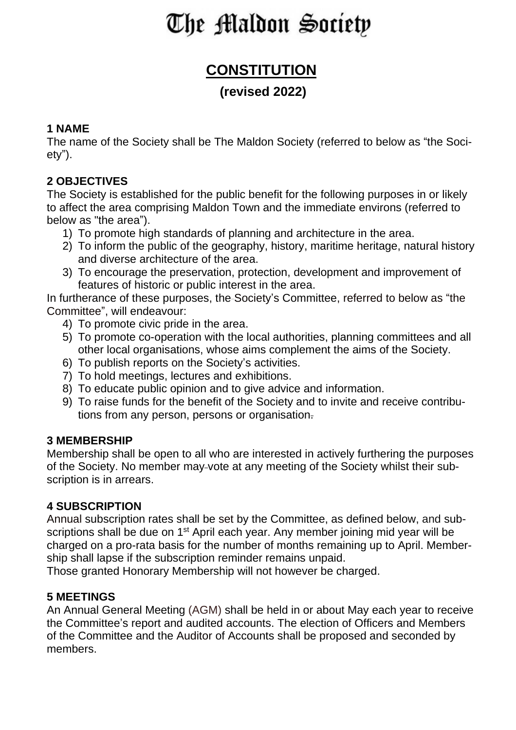# The Maldon Society

# **CONSTITUTION**

# **(revised 2022)**

#### **1 NAME**

The name of the Society shall be The Maldon Society (referred to below as "the Society").

# **2 OBJECTIVES**

The Society is established for the public benefit for the following purposes in or likely to affect the area comprising Maldon Town and the immediate environs (referred to below as "the area").

- 1) To promote high standards of planning and architecture in the area.
- 2) To inform the public of the geography, history, maritime heritage, natural history and diverse architecture of the area.
- 3) To encourage the preservation, protection, development and improvement of features of historic or public interest in the area.

In furtherance of these purposes, the Society's Committee, referred to below as "the Committee", will endeavour:

- 4) To promote civic pride in the area.
- 5) To promote co-operation with the local authorities, planning committees and all other local organisations, whose aims complement the aims of the Society.
- 6) To publish reports on the Society's activities.
- 7) To hold meetings, lectures and exhibitions.
- 8) To educate public opinion and to give advice and information.
- 9) To raise funds for the benefit of the Society and to invite and receive contributions from any person, persons or organisation.

### **3 MEMBERSHIP**

Membership shall be open to all who are interested in actively furthering the purposes of the Society. No member may vote at any meeting of the Society whilst their subscription is in arrears.

#### **4 SUBSCRIPTION**

Annual subscription rates shall be set by the Committee, as defined below, and subscriptions shall be due on 1<sup>st</sup> April each year. Any member joining mid year will be charged on a pro-rata basis for the number of months remaining up to April. Membership shall lapse if the subscription reminder remains unpaid.

Those granted Honorary Membership will not however be charged.

### **5 MEETINGS**

An Annual General Meeting (AGM) shall be held in or about May each year to receive the Committee's report and audited accounts. The election of Officers and Members of the Committee and the Auditor of Accounts shall be proposed and seconded by members.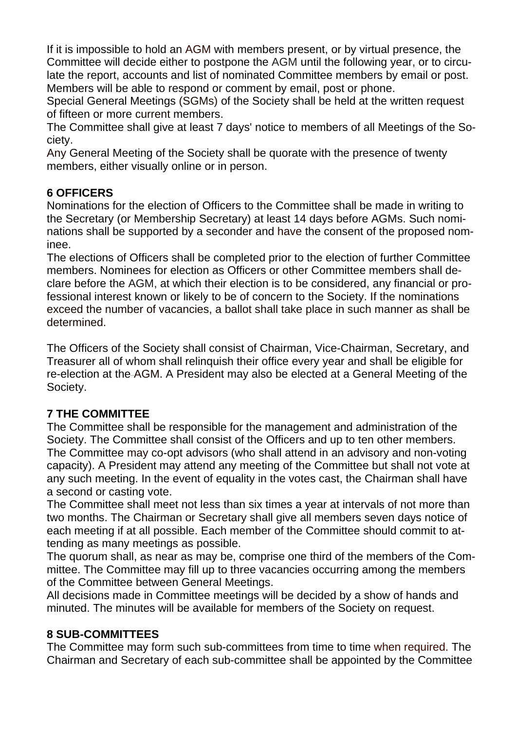If it is impossible to hold an AGM with members present, or by virtual presence, the Committee will decide either to postpone the AGM until the following year, or to circulate the report, accounts and list of nominated Committee members by email or post. Members will be able to respond or comment by email, post or phone.

Special General Meetings (SGMs) of the Society shall be held at the written request of fifteen or more current members.

The Committee shall give at least 7 days' notice to members of all Meetings of the Society.

Any General Meeting of the Society shall be quorate with the presence of twenty members, either visually online or in person.

# **6 OFFICERS**

Nominations for the election of Officers to the Committee shall be made in writing to the Secretary (or Membership Secretary) at least 14 days before AGMs. Such nominations shall be supported by a seconder and have the consent of the proposed nominee.

The elections of Officers shall be completed prior to the election of further Committee members. Nominees for election as Officers or other Committee members shall declare before the AGM, at which their election is to be considered, any financial or professional interest known or likely to be of concern to the Society. If the nominations exceed the number of vacancies, a ballot shall take place in such manner as shall be determined.

The Officers of the Society shall consist of Chairman, Vice-Chairman, Secretary, and Treasurer all of whom shall relinquish their office every year and shall be eligible for re-election at the AGM. A President may also be elected at a General Meeting of the Society.

### **7 THE COMMITTEE**

The Committee shall be responsible for the management and administration of the Society. The Committee shall consist of the Officers and up to ten other members. The Committee may co-opt advisors (who shall attend in an advisory and non-voting capacity). A President may attend any meeting of the Committee but shall not vote at any such meeting. In the event of equality in the votes cast, the Chairman shall have a second or casting vote.

The Committee shall meet not less than six times a year at intervals of not more than two months. The Chairman or Secretary shall give all members seven days notice of each meeting if at all possible. Each member of the Committee should commit to attending as many meetings as possible.

The quorum shall, as near as may be, comprise one third of the members of the Committee. The Committee may fill up to three vacancies occurring among the members of the Committee between General Meetings.

All decisions made in Committee meetings will be decided by a show of hands and minuted. The minutes will be available for members of the Society on request.

# **8 SUB-COMMITTEES**

The Committee may form such sub-committees from time to time when required. The Chairman and Secretary of each sub-committee shall be appointed by the Committee